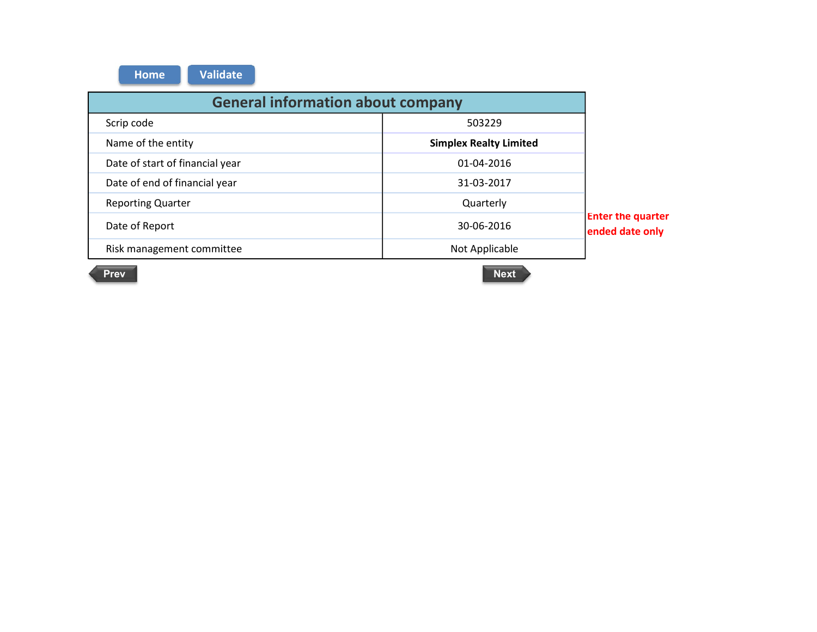| <b>Validate</b><br><b>Home</b>           |                               |                                             |  |
|------------------------------------------|-------------------------------|---------------------------------------------|--|
| <b>General information about company</b> |                               |                                             |  |
| Scrip code                               | 503229                        |                                             |  |
| Name of the entity                       | <b>Simplex Realty Limited</b> |                                             |  |
| Date of start of financial year          | 01-04-2016                    |                                             |  |
| Date of end of financial year            | 31-03-2017                    |                                             |  |
| <b>Reporting Quarter</b>                 | Quarterly                     |                                             |  |
| Date of Report                           | 30-06-2016                    | <b>Enter the quarter</b><br>ended date only |  |
| Risk management committee                | Not Applicable                |                                             |  |

 $\mathcal{L}$ 

Prev Next **Next** Next **Next**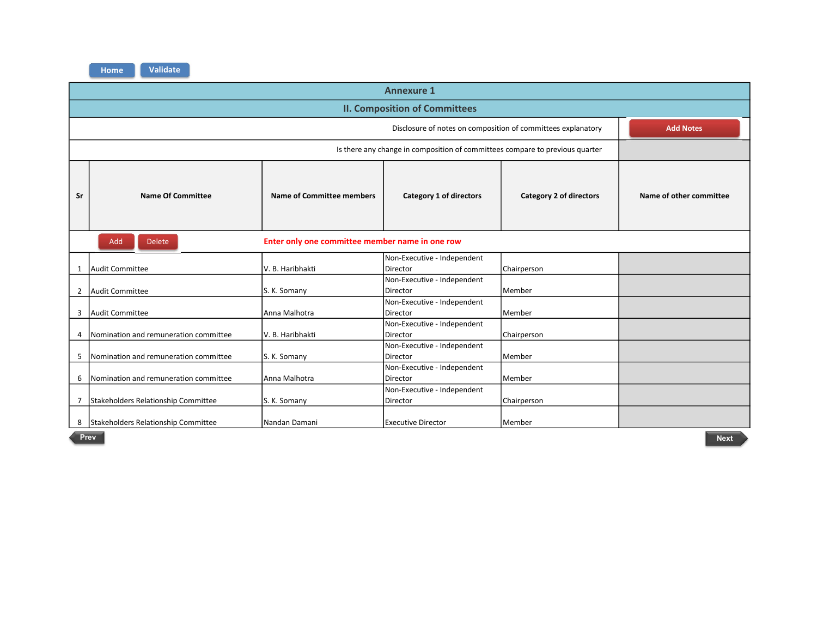| <b>Annexure 1</b> |                                                                                  |                                                 |                                                                              |                         |                         |
|-------------------|----------------------------------------------------------------------------------|-------------------------------------------------|------------------------------------------------------------------------------|-------------------------|-------------------------|
|                   | <b>II. Composition of Committees</b>                                             |                                                 |                                                                              |                         |                         |
|                   | Disclosure of notes on composition of committees explanatory<br><b>Add Notes</b> |                                                 |                                                                              |                         |                         |
|                   |                                                                                  |                                                 | Is there any change in composition of committees compare to previous quarter |                         |                         |
| Sr                | <b>Name Of Committee</b>                                                         | Name of Committee members                       | Category 1 of directors                                                      | Category 2 of directors | Name of other committee |
|                   | Add<br><b>Delete</b>                                                             | Enter only one committee member name in one row |                                                                              |                         |                         |
|                   | Audit Committee                                                                  | lV. B. Haribhakti                               | Non-Executive - Independent<br><b>Director</b>                               | Chairperson             |                         |
| $\overline{2}$    | Audit Committee                                                                  | S. K. Somany                                    | Non-Executive - Independent<br><b>Director</b>                               | Member                  |                         |
| 3                 | Audit Committee                                                                  | Anna Malhotra                                   | Non-Executive - Independent<br>Director                                      | lMember                 |                         |
| 4                 | Nomination and remuneration committee                                            | V. B. Haribhakti                                | Non-Executive - Independent<br><b>Director</b>                               | Chairperson             |                         |
| 5                 | Momination and remuneration committee                                            | S. K. Somany                                    | Non-Executive - Independent<br><b>Director</b>                               | Member                  |                         |
| 6                 | Nomination and remuneration committee                                            | Anna Malhotra                                   | Non-Executive - Independent<br>Director                                      | Member                  |                         |
| 7                 | Stakeholders Relationship Committee                                              | S. K. Somany                                    | Non-Executive - Independent<br><b>Director</b>                               | Chairperson             |                         |
| 8                 | Stakeholders Relationship Committee                                              | Nandan Damani                                   | <b>Executive Director</b>                                                    | l Member                |                         |

Prev Next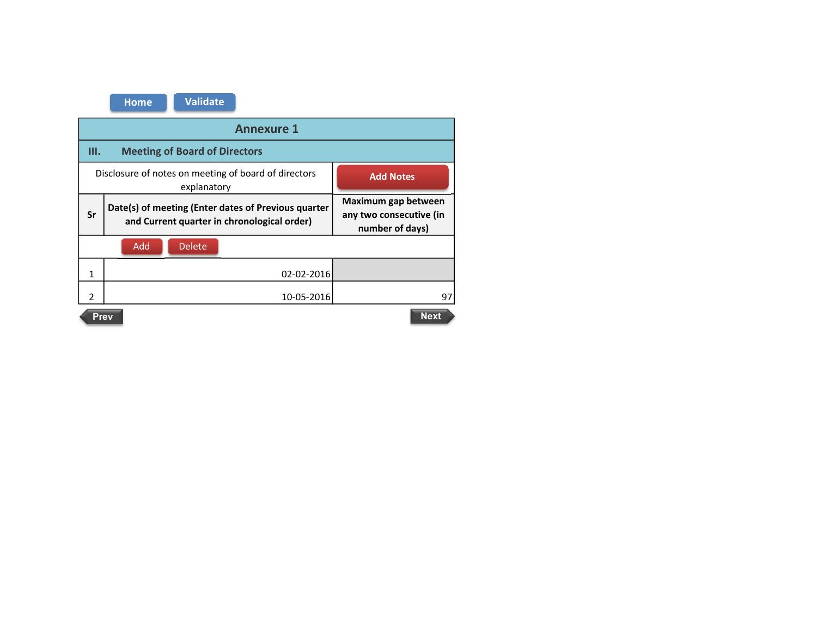|                            | <b>Annexure 1</b>                                                                                  |                                                                   |  |  |  |
|----------------------------|----------------------------------------------------------------------------------------------------|-------------------------------------------------------------------|--|--|--|
| Ш.                         | <b>Meeting of Board of Directors</b>                                                               |                                                                   |  |  |  |
|                            | Disclosure of notes on meeting of board of directors<br>explanatory                                | <b>Add Notes</b>                                                  |  |  |  |
| Sr                         | Date(s) of meeting (Enter dates of Previous quarter<br>and Current quarter in chronological order) | Maximum gap between<br>any two consecutive (in<br>number of days) |  |  |  |
|                            | Add<br><b>Delete</b>                                                                               |                                                                   |  |  |  |
| 1                          | 02-02-2016                                                                                         |                                                                   |  |  |  |
| $\mathfrak{p}$             | 10-05-2016<br>97                                                                                   |                                                                   |  |  |  |
| <b>Next</b><br><b>Prev</b> |                                                                                                    |                                                                   |  |  |  |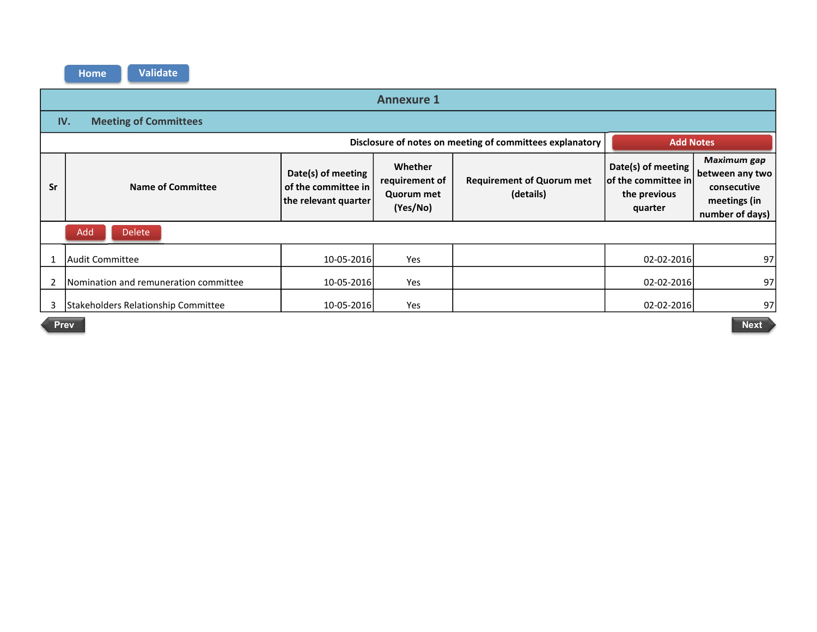|    | <b>Annexure 1</b>                                                            |                                                                   |                                                     |                                               |                                                                      |                                                                                         |
|----|------------------------------------------------------------------------------|-------------------------------------------------------------------|-----------------------------------------------------|-----------------------------------------------|----------------------------------------------------------------------|-----------------------------------------------------------------------------------------|
|    | <b>Meeting of Committees</b><br>IV.                                          |                                                                   |                                                     |                                               |                                                                      |                                                                                         |
|    | Disclosure of notes on meeting of committees explanatory<br><b>Add Notes</b> |                                                                   |                                                     |                                               |                                                                      |                                                                                         |
| Sr | Name of Committee                                                            | Date(s) of meeting<br>of the committee in<br>the relevant quarter | Whether<br>requirement of<br>Quorum met<br>(Yes/No) | <b>Requirement of Quorum met</b><br>(details) | Date(s) of meeting<br>of the committee in<br>the previous<br>quarter | <b>Maximum gap</b><br>between any two<br>consecutive<br>meetings (in<br>number of days) |
|    | Add<br><b>Delete</b>                                                         |                                                                   |                                                     |                                               |                                                                      |                                                                                         |
|    | Audit Committee                                                              | 10-05-2016                                                        | Yes                                                 |                                               | 02-02-2016                                                           | 97                                                                                      |
|    | Nomination and remuneration committee                                        | 10-05-2016                                                        | Yes                                                 |                                               | 02-02-2016                                                           | 97                                                                                      |
| 3  | <b>Stakeholders Relationship Committee</b>                                   | 10-05-2016                                                        | Yes                                                 |                                               | 02-02-2016                                                           | 97                                                                                      |

Prev in the contract of the contract of the contract of the contract of the contract of the contract of the contract of the contract of the contract of the contract of the contract of the contract of the contract of the co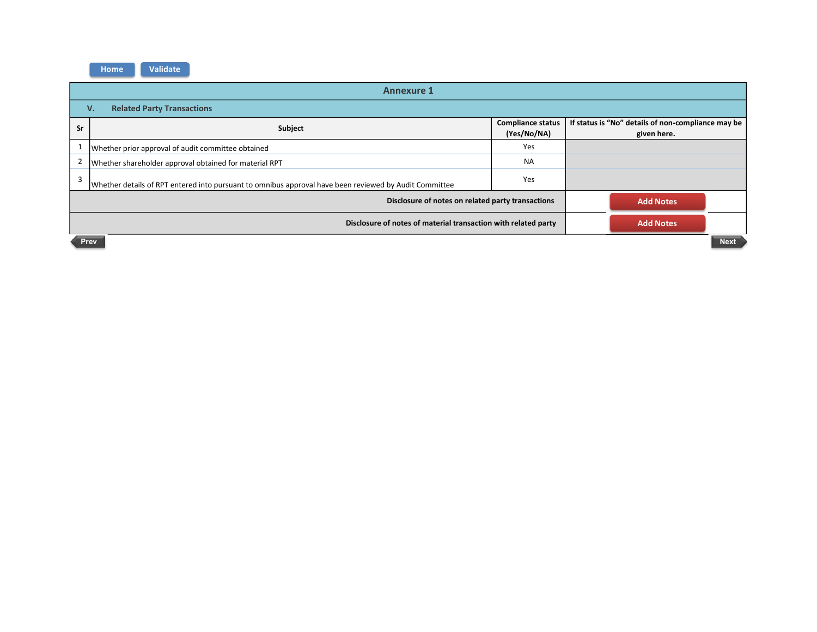| <b>Annexure 1</b>                       |                                                                                                        |                                         |                                                                   |  |
|-----------------------------------------|--------------------------------------------------------------------------------------------------------|-----------------------------------------|-------------------------------------------------------------------|--|
| <b>Related Party Transactions</b><br>v. |                                                                                                        |                                         |                                                                   |  |
| Sr                                      | Subject                                                                                                | <b>Compliance status</b><br>(Yes/No/NA) | If status is "No" details of non-compliance may be<br>given here. |  |
|                                         | Whether prior approval of audit committee obtained                                                     | Yes                                     |                                                                   |  |
|                                         | Whether shareholder approval obtained for material RPT                                                 | <b>NA</b>                               |                                                                   |  |
| $\mathbf{\overline{a}}$                 | Whether details of RPT entered into pursuant to omnibus approval have been reviewed by Audit Committee | Yes                                     |                                                                   |  |
|                                         | Disclosure of notes on related party transactions<br><b>Add Notes</b>                                  |                                         |                                                                   |  |
|                                         | Disclosure of notes of material transaction with related party<br><b>Add Notes</b>                     |                                         |                                                                   |  |
| <b>Next</b><br>Prev                     |                                                                                                        |                                         |                                                                   |  |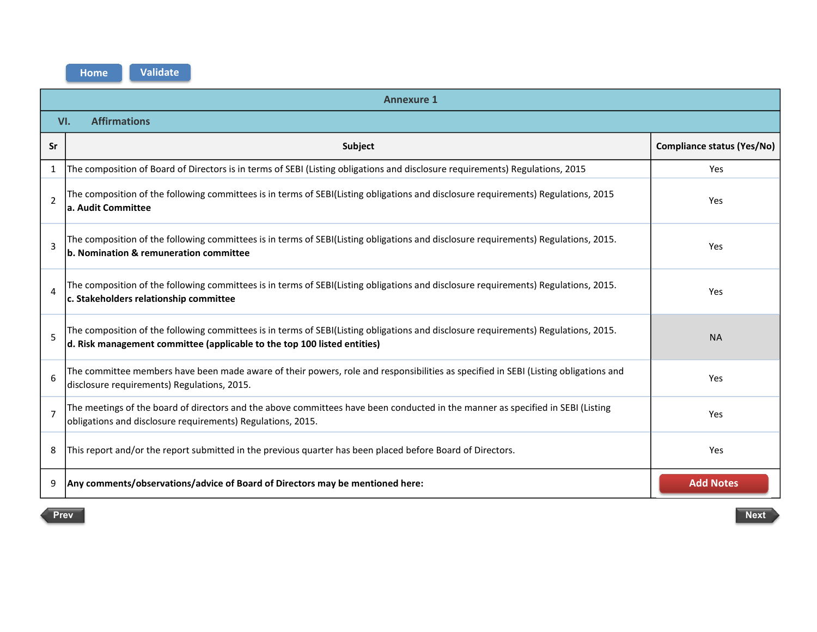|                          | <b>Annexure 1</b>                                                                                                                                                                                               |                                   |  |  |  |
|--------------------------|-----------------------------------------------------------------------------------------------------------------------------------------------------------------------------------------------------------------|-----------------------------------|--|--|--|
|                          | <b>Affirmations</b><br>VI.                                                                                                                                                                                      |                                   |  |  |  |
| Sr                       | Subject                                                                                                                                                                                                         | <b>Compliance status (Yes/No)</b> |  |  |  |
| 1                        | The composition of Board of Directors is in terms of SEBI (Listing obligations and disclosure requirements) Regulations, 2015                                                                                   | Yes                               |  |  |  |
| $\overline{\phantom{a}}$ | The composition of the following committees is in terms of SEBI(Listing obligations and disclosure requirements) Regulations, 2015<br>a. Audit Committee                                                        | Yes                               |  |  |  |
| $\overline{3}$           | The composition of the following committees is in terms of SEBI(Listing obligations and disclosure requirements) Regulations, 2015.<br>b. Nomination & remuneration committee                                   | Yes                               |  |  |  |
| $\overline{4}$           | The composition of the following committees is in terms of SEBI(Listing obligations and disclosure requirements) Regulations, 2015.<br>c. Stakeholders relationship committee                                   | Yes                               |  |  |  |
| 5                        | The composition of the following committees is in terms of SEBI(Listing obligations and disclosure requirements) Regulations, 2015.<br>d. Risk management committee (applicable to the top 100 listed entities) | <b>NA</b>                         |  |  |  |
| 6                        | The committee members have been made aware of their powers, role and responsibilities as specified in SEBI (Listing obligations and<br>disclosure requirements) Regulations, 2015.                              | Yes                               |  |  |  |
| $\overline{7}$           | The meetings of the board of directors and the above committees have been conducted in the manner as specified in SEBI (Listing<br>obligations and disclosure requirements) Regulations, 2015.                  | Yes                               |  |  |  |
| 8                        | This report and/or the report submitted in the previous quarter has been placed before Board of Directors.                                                                                                      | Yes                               |  |  |  |
| 9                        | Any comments/observations/advice of Board of Directors may be mentioned here:                                                                                                                                   | <b>Add Notes</b>                  |  |  |  |